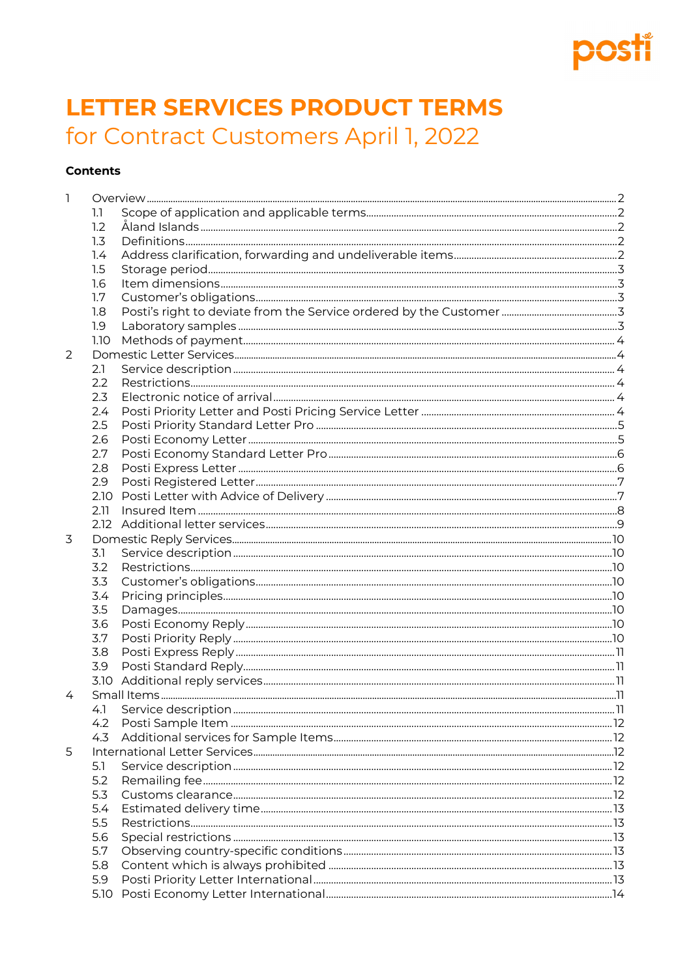## Fĭ pos

# **LETTER SERVICES PRODUCT TERMS** for Contract Customers April 1, 2022

## **Contents**

| 1 |              |                         |    |
|---|--------------|-------------------------|----|
|   | $\mathbf{L}$ |                         |    |
|   | 1.2          |                         |    |
|   | 1.3          |                         |    |
|   | 1.4          |                         |    |
|   | 1.5          |                         |    |
|   | 1.6          |                         |    |
|   | 1.7          |                         |    |
|   | 1.8          |                         |    |
|   | 1.9          |                         |    |
|   | 1.10         |                         |    |
| 2 |              |                         |    |
|   | 2.1          |                         |    |
|   | 2.2          |                         |    |
|   | 2.3          |                         |    |
|   | 2.4          |                         |    |
|   | 2.5          |                         |    |
|   | 2.6          |                         |    |
|   | 2.7          |                         |    |
|   | 2.8          |                         |    |
|   | 2.9          |                         |    |
|   | 2.10         |                         |    |
|   | 2.11         |                         |    |
|   | 2.12         |                         |    |
| 3 |              |                         |    |
|   | 3.1          |                         |    |
|   | 3.2          |                         |    |
|   | 3.3          |                         |    |
|   | 3.4          |                         |    |
|   | 3.5          |                         |    |
|   | 3.6          |                         |    |
|   | 3.7          |                         |    |
|   | 3.8          |                         |    |
|   | 3.9          |                         |    |
|   |              |                         |    |
| 4 |              |                         |    |
|   |              | 4.1 Service description | 11 |
|   | 4.2          |                         |    |
|   | 4.3          |                         |    |
| 5 |              |                         |    |
|   | 5.1          |                         |    |
|   | 5.2          |                         |    |
|   | 5.3          |                         |    |
|   | 5.4          |                         |    |
|   | 5.5          |                         |    |
|   | 5.6          |                         |    |
|   | 5.7          |                         |    |
|   | 5.8          |                         |    |
|   | 5.9          |                         |    |
|   | 5.10         |                         |    |
|   |              |                         |    |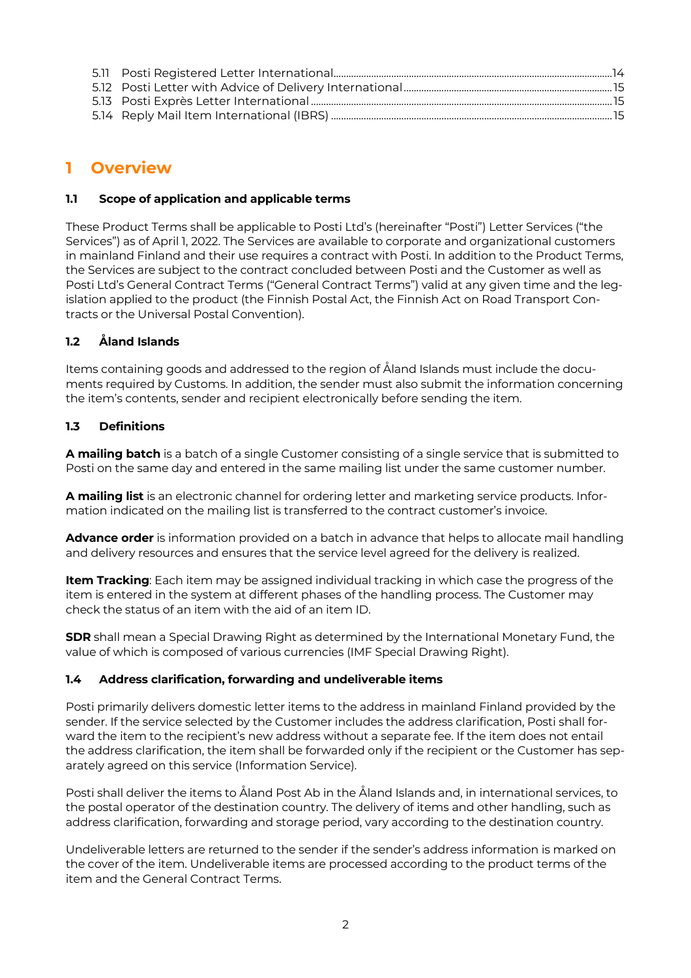## <span id="page-1-0"></span>**1 Overview**

## <span id="page-1-1"></span>**1.1 Scope of application and applicable terms**

These Product Terms shall be applicable to Posti Ltd's (hereinafter "Posti") Letter Services ("the Services") as of April 1, 2022. The Services are available to corporate and organizational customers in mainland Finland and their use requires a contract with Posti. In addition to the Product Terms, the Services are subject to the contract concluded between Posti and the Customer as well as Posti Ltd's General Contract Terms ("General Contract Terms") valid at any given time and the legislation applied to the product (the Finnish Postal Act, the Finnish Act on Road Transport Contracts or the Universal Postal Convention).

## <span id="page-1-2"></span>**1.2 Åland Islands**

Items containing goods and addressed to the region of Åland Islands must include the documents required by Customs. In addition, the sender must also submit the information concerning the item's contents, sender and recipient electronically before sending the item.

## <span id="page-1-3"></span>**1.3 Definitions**

**A mailing batch** is a batch of a single Customer consisting of a single service that is submitted to Posti on the same day and entered in the same mailing list under the same customer number.

**A mailing list** is an electronic channel for ordering letter and marketing service products. Information indicated on the mailing list is transferred to the contract customer's invoice.

**Advance order** is information provided on a batch in advance that helps to allocate mail handling and delivery resources and ensures that the service level agreed for the delivery is realized.

**Item Tracking**: Each item may be assigned individual tracking in which case the progress of the item is entered in the system at different phases of the handling process. The Customer may check the status of an item with the aid of an item ID.

**SDR** shall mean a Special Drawing Right as determined by the International Monetary Fund, the value of which is composed of various currencies (IMF Special Drawing Right).

## <span id="page-1-4"></span>**1.4 Address clarification, forwarding and undeliverable items**

Posti primarily delivers domestic letter items to the address in mainland Finland provided by the sender. If the service selected by the Customer includes the address clarification, Posti shall forward the item to the recipient's new address without a separate fee. If the item does not entail the address clarification, the item shall be forwarded only if the recipient or the Customer has separately agreed on this service (Information Service).

Posti shall deliver the items to Åland Post Ab in the Åland Islands and, in international services, to the postal operator of the destination country. The delivery of items and other handling, such as address clarification, forwarding and storage period, vary according to the destination country.

Undeliverable letters are returned to the sender if the sender's address information is marked on the cover of the item. Undeliverable items are processed according to the product terms of the item and the General Contract Terms.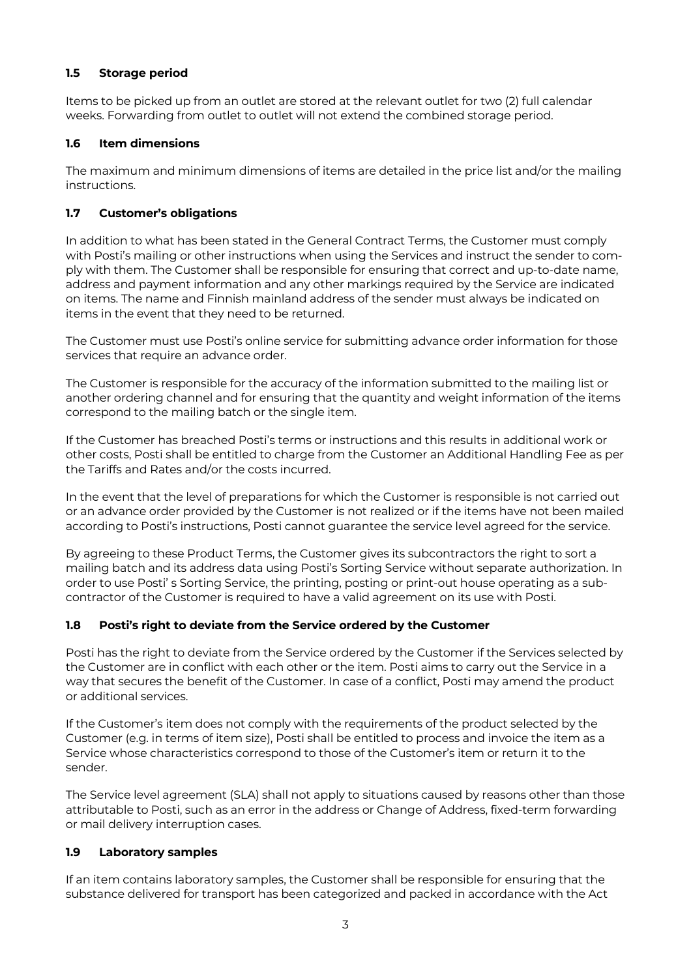## <span id="page-2-0"></span>**1.5 Storage period**

Items to be picked up from an outlet are stored at the relevant outlet for two (2) full calendar weeks. Forwarding from outlet to outlet will not extend the combined storage period.

## <span id="page-2-1"></span>**1.6 Item dimensions**

The maximum and minimum dimensions of items are detailed in the price list and/or the mailing instructions.

## <span id="page-2-2"></span>**1.7 Customer's obligations**

In addition to what has been stated in the General Contract Terms, the Customer must comply with Posti's mailing or other instructions when using the Services and instruct the sender to comply with them. The Customer shall be responsible for ensuring that correct and up-to-date name, address and payment information and any other markings required by the Service are indicated on items. The name and Finnish mainland address of the sender must always be indicated on items in the event that they need to be returned.

The Customer must use Posti's online service for submitting advance order information for those services that require an advance order.

The Customer is responsible for the accuracy of the information submitted to the mailing list or another ordering channel and for ensuring that the quantity and weight information of the items correspond to the mailing batch or the single item.

If the Customer has breached Posti's terms or instructions and this results in additional work or other costs, Posti shall be entitled to charge from the Customer an Additional Handling Fee as per the Tariffs and Rates and/or the costs incurred.

In the event that the level of preparations for which the Customer is responsible is not carried out or an advance order provided by the Customer is not realized or if the items have not been mailed according to Posti's instructions, Posti cannot guarantee the service level agreed for the service.

By agreeing to these Product Terms, the Customer gives its subcontractors the right to sort a mailing batch and its address data using Posti's Sorting Service without separate authorization. In order to use Posti' s Sorting Service, the printing, posting or print-out house operating as a subcontractor of the Customer is required to have a valid agreement on its use with Posti.

## <span id="page-2-3"></span>**1.8 Posti's right to deviate from the Service ordered by the Customer**

Posti has the right to deviate from the Service ordered by the Customer if the Services selected by the Customer are in conflict with each other or the item. Posti aims to carry out the Service in a way that secures the benefit of the Customer. In case of a conflict, Posti may amend the product or additional services.

If the Customer's item does not comply with the requirements of the product selected by the Customer (e.g. in terms of item size), Posti shall be entitled to process and invoice the item as a Service whose characteristics correspond to those of the Customer's item or return it to the sender.

The Service level agreement (SLA) shall not apply to situations caused by reasons other than those attributable to Posti, such as an error in the address or Change of Address, fixed-term forwarding or mail delivery interruption cases.

## <span id="page-2-4"></span>**1.9 Laboratory samples**

If an item contains laboratory samples, the Customer shall be responsible for ensuring that the substance delivered for transport has been categorized and packed in accordance with the Act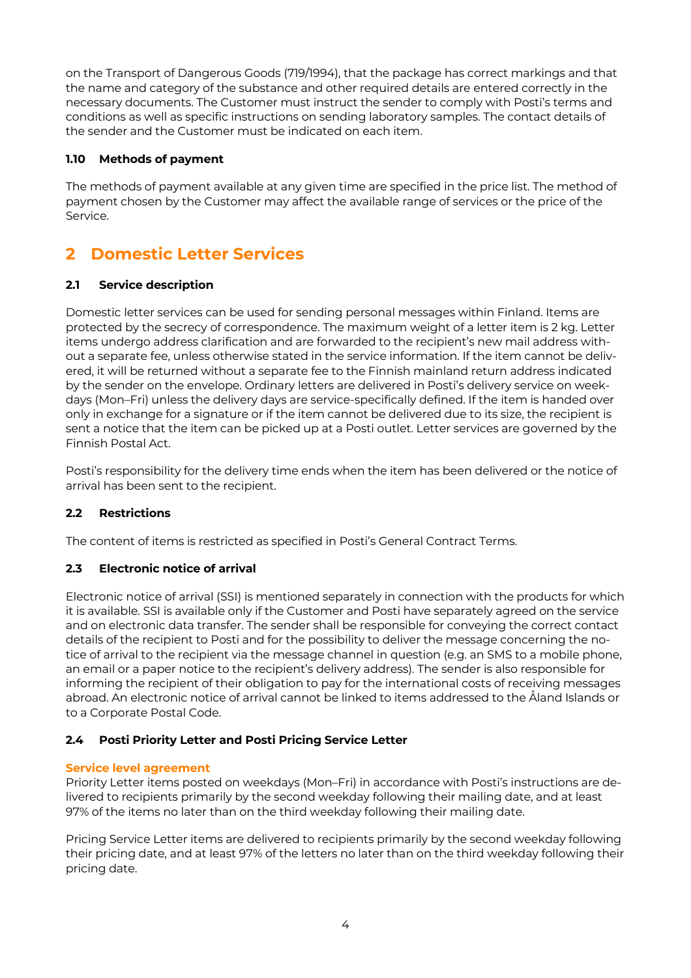on the Transport of Dangerous Goods (719/1994), that the package has correct markings and that the name and category of the substance and other required details are entered correctly in the necessary documents. The Customer must instruct the sender to comply with Posti's terms and conditions as well as specific instructions on sending laboratory samples. The contact details of the sender and the Customer must be indicated on each item.

## <span id="page-3-0"></span>**1.10 Methods of payment**

The methods of payment available at any given time are specified in the price list. The method of payment chosen by the Customer may affect the available range of services or the price of the Service.

## <span id="page-3-1"></span>**2 Domestic Letter Services**

## <span id="page-3-2"></span>**2.1 Service description**

Domestic letter services can be used for sending personal messages within Finland. Items are protected by the secrecy of correspondence. The maximum weight of a letter item is 2 kg. Letter items undergo address clarification and are forwarded to the recipient's new mail address without a separate fee, unless otherwise stated in the service information. If the item cannot be delivered, it will be returned without a separate fee to the Finnish mainland return address indicated by the sender on the envelope. Ordinary letters are delivered in Posti's delivery service on weekdays (Mon–Fri) unless the delivery days are service-specifically defined. If the item is handed over only in exchange for a signature or if the item cannot be delivered due to its size, the recipient is sent a notice that the item can be picked up at a Posti outlet. Letter services are governed by the Finnish Postal Act.

Posti's responsibility for the delivery time ends when the item has been delivered or the notice of arrival has been sent to the recipient.

## <span id="page-3-3"></span>**2.2 Restrictions**

The content of items is restricted as specified in Posti's General Contract Terms.

## <span id="page-3-4"></span>**2.3 Electronic notice of arrival**

Electronic notice of arrival (SSI) is mentioned separately in connection with the products for which it is available. SSI is available only if the Customer and Posti have separately agreed on the service and on electronic data transfer. The sender shall be responsible for conveying the correct contact details of the recipient to Posti and for the possibility to deliver the message concerning the notice of arrival to the recipient via the message channel in question (e.g. an SMS to a mobile phone, an email or a paper notice to the recipient's delivery address). The sender is also responsible for informing the recipient of their obligation to pay for the international costs of receiving messages abroad. An electronic notice of arrival cannot be linked to items addressed to the Åland Islands or to a Corporate Postal Code.

## <span id="page-3-5"></span>**2.4 Posti Priority Letter and Posti Pricing Service Letter**

## **Service level agreement**

Priority Letter items posted on weekdays (Mon–Fri) in accordance with Posti's instructions are delivered to recipients primarily by the second weekday following their mailing date, and at least 97% of the items no later than on the third weekday following their mailing date.

Pricing Service Letter items are delivered to recipients primarily by the second weekday following their pricing date, and at least 97% of the letters no later than on the third weekday following their pricing date.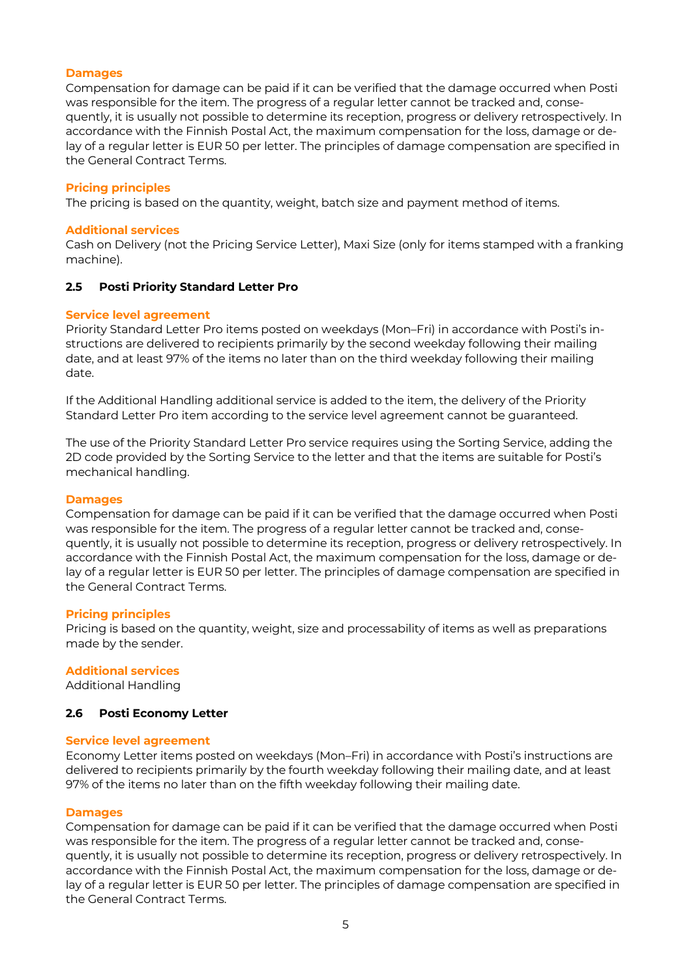### **Damages**

Compensation for damage can be paid if it can be verified that the damage occurred when Posti was responsible for the item. The progress of a regular letter cannot be tracked and, consequently, it is usually not possible to determine its reception, progress or delivery retrospectively. In accordance with the Finnish Postal Act, the maximum compensation for the loss, damage or delay of a regular letter is EUR 50 per letter. The principles of damage compensation are specified in the General Contract Terms.

### **Pricing principles**

The pricing is based on the quantity, weight, batch size and payment method of items.

#### **Additional services**

Cash on Delivery (not the Pricing Service Letter), Maxi Size (only for items stamped with a franking machine).

#### <span id="page-4-0"></span>**2.5 Posti Priority Standard Letter Pro**

#### **Service level agreement**

Priority Standard Letter Pro items posted on weekdays (Mon–Fri) in accordance with Posti's instructions are delivered to recipients primarily by the second weekday following their mailing date, and at least 97% of the items no later than on the third weekday following their mailing date.

If the Additional Handling additional service is added to the item, the delivery of the Priority Standard Letter Pro item according to the service level agreement cannot be guaranteed.

The use of the Priority Standard Letter Pro service requires using the Sorting Service, adding the 2D code provided by the Sorting Service to the letter and that the items are suitable for Posti's mechanical handling.

#### **Damages**

Compensation for damage can be paid if it can be verified that the damage occurred when Posti was responsible for the item. The progress of a regular letter cannot be tracked and, consequently, it is usually not possible to determine its reception, progress or delivery retrospectively. In accordance with the Finnish Postal Act, the maximum compensation for the loss, damage or delay of a regular letter is EUR 50 per letter. The principles of damage compensation are specified in the General Contract Terms.

#### **Pricing principles**

Pricing is based on the quantity, weight, size and processability of items as well as preparations made by the sender.

#### **Additional services**

Additional Handling

## <span id="page-4-1"></span>**2.6 Posti Economy Letter**

#### **Service level agreement**

Economy Letter items posted on weekdays (Mon–Fri) in accordance with Posti's instructions are delivered to recipients primarily by the fourth weekday following their mailing date, and at least 97% of the items no later than on the fifth weekday following their mailing date.

#### **Damages**

Compensation for damage can be paid if it can be verified that the damage occurred when Posti was responsible for the item. The progress of a regular letter cannot be tracked and, consequently, it is usually not possible to determine its reception, progress or delivery retrospectively. In accordance with the Finnish Postal Act, the maximum compensation for the loss, damage or delay of a regular letter is EUR 50 per letter. The principles of damage compensation are specified in the General Contract Terms.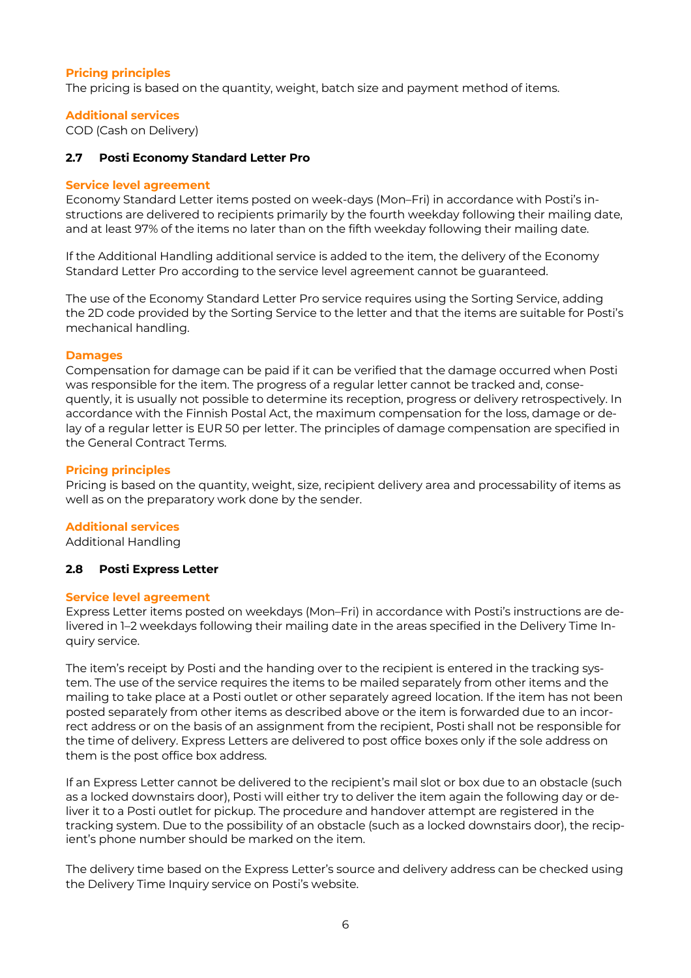## **Pricing principles**

The pricing is based on the quantity, weight, batch size and payment method of items.

#### **Additional services**

COD (Cash on Delivery)

## <span id="page-5-0"></span>**2.7 Posti Economy Standard Letter Pro**

#### **Service level agreement**

Economy Standard Letter items posted on week-days (Mon–Fri) in accordance with Posti's instructions are delivered to recipients primarily by the fourth weekday following their mailing date, and at least 97% of the items no later than on the fifth weekday following their mailing date.

If the Additional Handling additional service is added to the item, the delivery of the Economy Standard Letter Pro according to the service level agreement cannot be guaranteed.

The use of the Economy Standard Letter Pro service requires using the Sorting Service, adding the 2D code provided by the Sorting Service to the letter and that the items are suitable for Posti's mechanical handling.

#### **Damages**

Compensation for damage can be paid if it can be verified that the damage occurred when Posti was responsible for the item. The progress of a regular letter cannot be tracked and, consequently, it is usually not possible to determine its reception, progress or delivery retrospectively. In accordance with the Finnish Postal Act, the maximum compensation for the loss, damage or delay of a regular letter is EUR 50 per letter. The principles of damage compensation are specified in the General Contract Terms.

#### **Pricing principles**

Pricing is based on the quantity, weight, size, recipient delivery area and processability of items as well as on the preparatory work done by the sender.

## **Additional services**

Additional Handling

## <span id="page-5-1"></span>**2.8 Posti Express Letter**

#### **Service level agreement**

Express Letter items posted on weekdays (Mon–Fri) in accordance with Posti's instructions are delivered in 1–2 weekdays following their mailing date in the areas specified in the Delivery Time Inquiry service.

The item's receipt by Posti and the handing over to the recipient is entered in the tracking system. The use of the service requires the items to be mailed separately from other items and the mailing to take place at a Posti outlet or other separately agreed location. If the item has not been posted separately from other items as described above or the item is forwarded due to an incorrect address or on the basis of an assignment from the recipient, Posti shall not be responsible for the time of delivery. Express Letters are delivered to post office boxes only if the sole address on them is the post office box address.

If an Express Letter cannot be delivered to the recipient's mail slot or box due to an obstacle (such as a locked downstairs door), Posti will either try to deliver the item again the following day or deliver it to a Posti outlet for pickup. The procedure and handover attempt are registered in the tracking system. Due to the possibility of an obstacle (such as a locked downstairs door), the recipient's phone number should be marked on the item.

The delivery time based on the Express Letter's source and delivery address can be checked using the Delivery Time Inquiry service on Posti's website.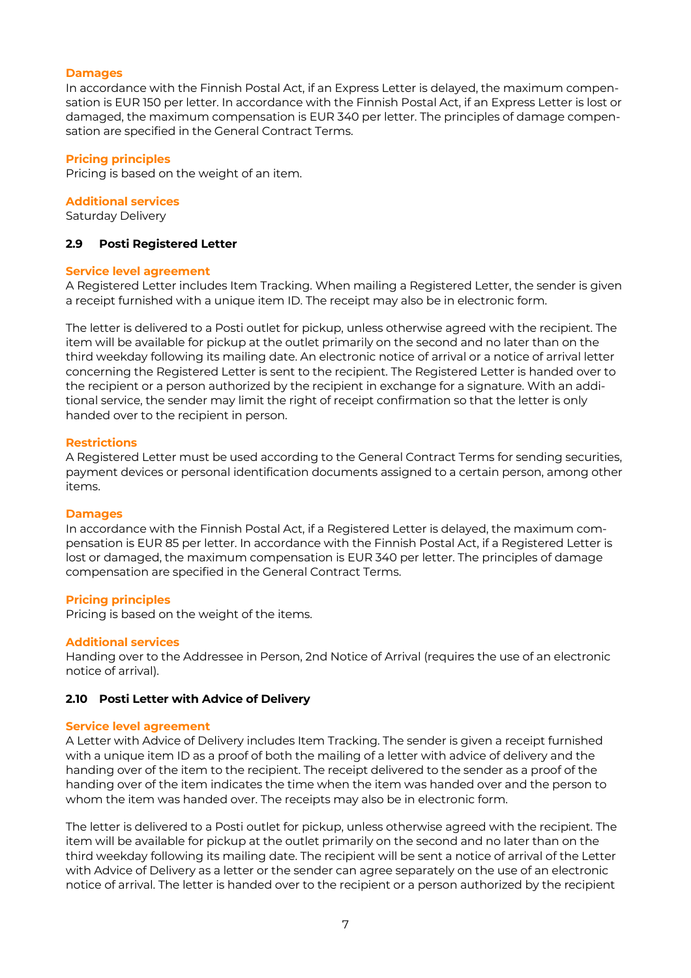#### **Damages**

In accordance with the Finnish Postal Act, if an Express Letter is delayed, the maximum compensation is EUR 150 per letter. In accordance with the Finnish Postal Act, if an Express Letter is lost or damaged, the maximum compensation is EUR 340 per letter. The principles of damage compensation are specified in the General Contract Terms.

### **Pricing principles**

Pricing is based on the weight of an item.

#### **Additional services**

Saturday Delivery

### <span id="page-6-0"></span>**2.9 Posti Registered Letter**

#### **Service level agreement**

A Registered Letter includes Item Tracking. When mailing a Registered Letter, the sender is given a receipt furnished with a unique item ID. The receipt may also be in electronic form.

The letter is delivered to a Posti outlet for pickup, unless otherwise agreed with the recipient. The item will be available for pickup at the outlet primarily on the second and no later than on the third weekday following its mailing date. An electronic notice of arrival or a notice of arrival letter concerning the Registered Letter is sent to the recipient. The Registered Letter is handed over to the recipient or a person authorized by the recipient in exchange for a signature. With an additional service, the sender may limit the right of receipt confirmation so that the letter is only handed over to the recipient in person.

#### **Restrictions**

A Registered Letter must be used according to the General Contract Terms for sending securities, payment devices or personal identification documents assigned to a certain person, among other items.

#### **Damages**

In accordance with the Finnish Postal Act, if a Registered Letter is delayed, the maximum compensation is EUR 85 per letter. In accordance with the Finnish Postal Act, if a Registered Letter is lost or damaged, the maximum compensation is EUR 340 per letter. The principles of damage compensation are specified in the General Contract Terms.

#### **Pricing principles**

Pricing is based on the weight of the items.

#### **Additional services**

Handing over to the Addressee in Person, 2nd Notice of Arrival (requires the use of an electronic notice of arrival).

#### <span id="page-6-1"></span>**2.10 Posti Letter with Advice of Delivery**

#### **Service level agreement**

A Letter with Advice of Delivery includes Item Tracking. The sender is given a receipt furnished with a unique item ID as a proof of both the mailing of a letter with advice of delivery and the handing over of the item to the recipient. The receipt delivered to the sender as a proof of the handing over of the item indicates the time when the item was handed over and the person to whom the item was handed over. The receipts may also be in electronic form.

The letter is delivered to a Posti outlet for pickup, unless otherwise agreed with the recipient. The item will be available for pickup at the outlet primarily on the second and no later than on the third weekday following its mailing date. The recipient will be sent a notice of arrival of the Letter with Advice of Delivery as a letter or the sender can agree separately on the use of an electronic notice of arrival. The letter is handed over to the recipient or a person authorized by the recipient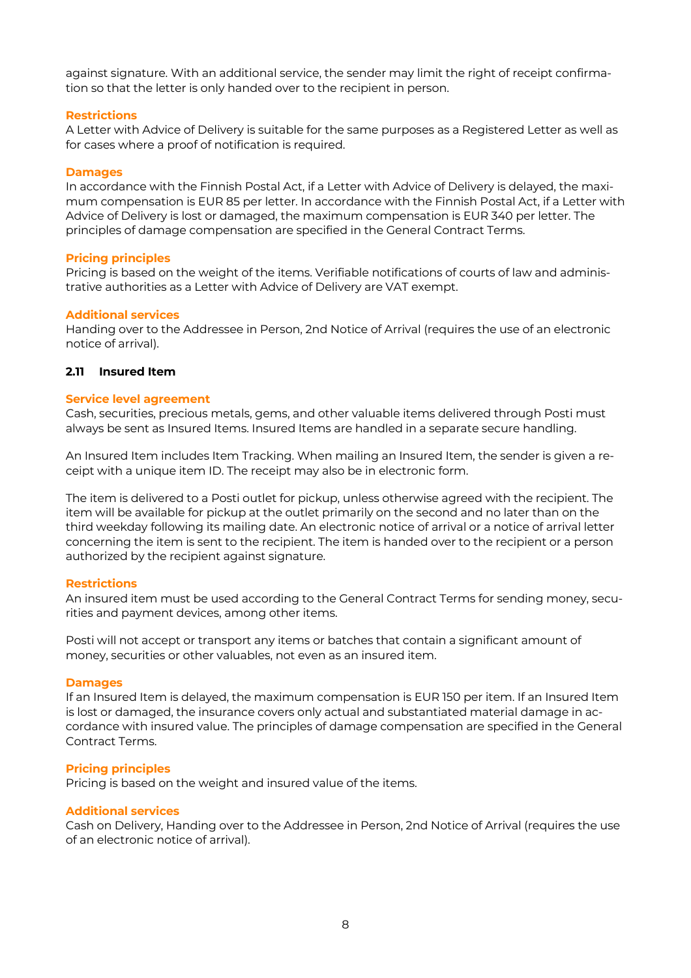against signature. With an additional service, the sender may limit the right of receipt confirmation so that the letter is only handed over to the recipient in person.

## **Restrictions**

A Letter with Advice of Delivery is suitable for the same purposes as a Registered Letter as well as for cases where a proof of notification is required.

#### **Damages**

In accordance with the Finnish Postal Act, if a Letter with Advice of Delivery is delayed, the maximum compensation is EUR 85 per letter. In accordance with the Finnish Postal Act, if a Letter with Advice of Delivery is lost or damaged, the maximum compensation is EUR 340 per letter. The principles of damage compensation are specified in the General Contract Terms.

#### **Pricing principles**

Pricing is based on the weight of the items. Verifiable notifications of courts of law and administrative authorities as a Letter with Advice of Delivery are VAT exempt.

#### **Additional services**

Handing over to the Addressee in Person, 2nd Notice of Arrival (requires the use of an electronic notice of arrival).

#### <span id="page-7-0"></span>**2.11 Insured Item**

#### **Service level agreement**

Cash, securities, precious metals, gems, and other valuable items delivered through Posti must always be sent as Insured Items. Insured Items are handled in a separate secure handling.

An Insured Item includes Item Tracking. When mailing an Insured Item, the sender is given a receipt with a unique item ID. The receipt may also be in electronic form.

The item is delivered to a Posti outlet for pickup, unless otherwise agreed with the recipient. The item will be available for pickup at the outlet primarily on the second and no later than on the third weekday following its mailing date. An electronic notice of arrival or a notice of arrival letter concerning the item is sent to the recipient. The item is handed over to the recipient or a person authorized by the recipient against signature.

#### **Restrictions**

An insured item must be used according to the General Contract Terms for sending money, securities and payment devices, among other items.

Posti will not accept or transport any items or batches that contain a significant amount of money, securities or other valuables, not even as an insured item.

#### **Damages**

If an Insured Item is delayed, the maximum compensation is EUR 150 per item. If an Insured Item is lost or damaged, the insurance covers only actual and substantiated material damage in accordance with insured value. The principles of damage compensation are specified in the General Contract Terms.

#### **Pricing principles**

Pricing is based on the weight and insured value of the items.

#### **Additional services**

Cash on Delivery, Handing over to the Addressee in Person, 2nd Notice of Arrival (requires the use of an electronic notice of arrival).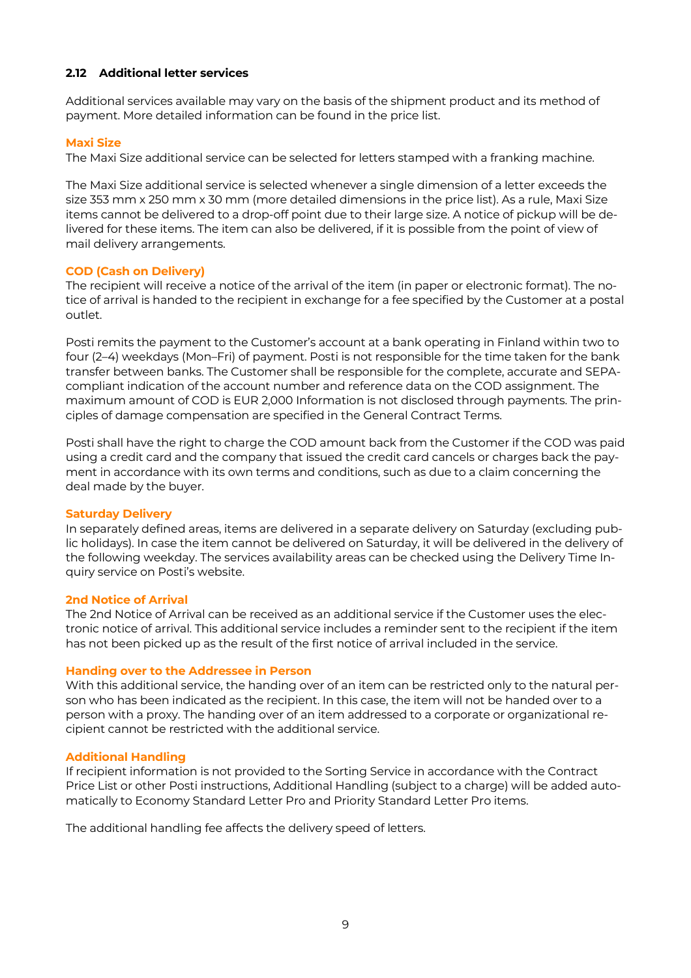## <span id="page-8-0"></span>**2.12 Additional letter services**

Additional services available may vary on the basis of the shipment product and its method of payment. More detailed information can be found in the price list.

## **Maxi Size**

The Maxi Size additional service can be selected for letters stamped with a franking machine.

The Maxi Size additional service is selected whenever a single dimension of a letter exceeds the size 353 mm x 250 mm x 30 mm (more detailed dimensions in the price list). As a rule, Maxi Size items cannot be delivered to a drop-off point due to their large size. A notice of pickup will be delivered for these items. The item can also be delivered, if it is possible from the point of view of mail delivery arrangements.

## **COD (Cash on Delivery)**

The recipient will receive a notice of the arrival of the item (in paper or electronic format). The notice of arrival is handed to the recipient in exchange for a fee specified by the Customer at a postal outlet.

Posti remits the payment to the Customer's account at a bank operating in Finland within two to four (2–4) weekdays (Mon–Fri) of payment. Posti is not responsible for the time taken for the bank transfer between banks. The Customer shall be responsible for the complete, accurate and SEPAcompliant indication of the account number and reference data on the COD assignment. The maximum amount of COD is EUR 2,000 Information is not disclosed through payments. The principles of damage compensation are specified in the General Contract Terms.

Posti shall have the right to charge the COD amount back from the Customer if the COD was paid using a credit card and the company that issued the credit card cancels or charges back the payment in accordance with its own terms and conditions, such as due to a claim concerning the deal made by the buyer.

## **Saturday Delivery**

In separately defined areas, items are delivered in a separate delivery on Saturday (excluding public holidays). In case the item cannot be delivered on Saturday, it will be delivered in the delivery of the following weekday. The services availability areas can be checked using the Delivery Time Inquiry service on Posti's website.

## **2nd Notice of Arrival**

The 2nd Notice of Arrival can be received as an additional service if the Customer uses the electronic notice of arrival. This additional service includes a reminder sent to the recipient if the item has not been picked up as the result of the first notice of arrival included in the service.

## **Handing over to the Addressee in Person**

With this additional service, the handing over of an item can be restricted only to the natural person who has been indicated as the recipient. In this case, the item will not be handed over to a person with a proxy. The handing over of an item addressed to a corporate or organizational recipient cannot be restricted with the additional service.

## **Additional Handling**

If recipient information is not provided to the Sorting Service in accordance with the Contract Price List or other Posti instructions, Additional Handling (subject to a charge) will be added automatically to Economy Standard Letter Pro and Priority Standard Letter Pro items.

The additional handling fee affects the delivery speed of letters.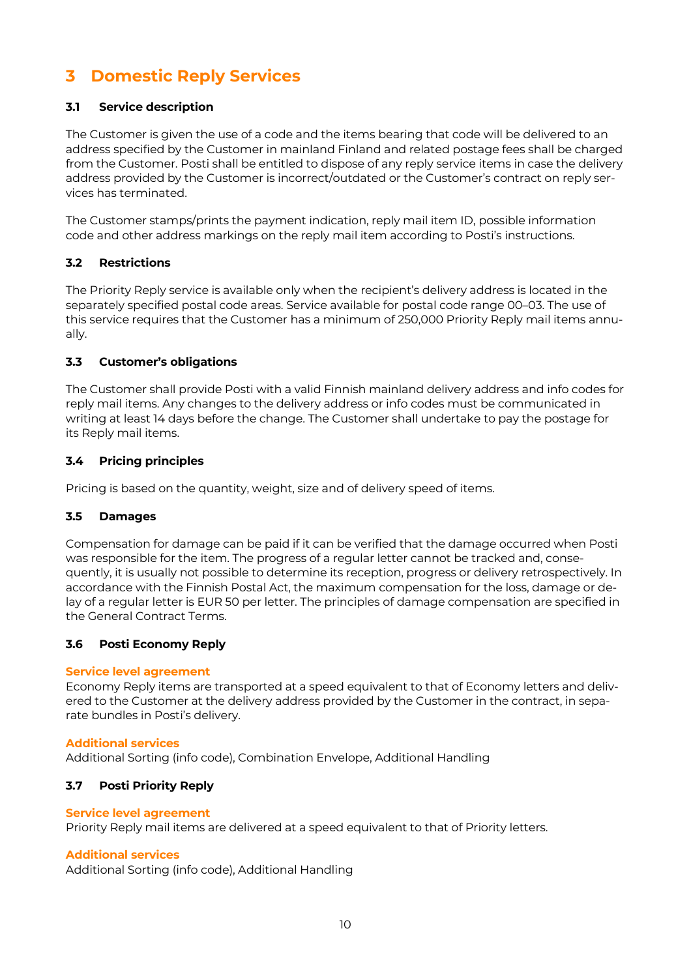## <span id="page-9-0"></span>**3 Domestic Reply Services**

## <span id="page-9-1"></span>**3.1 Service description**

The Customer is given the use of a code and the items bearing that code will be delivered to an address specified by the Customer in mainland Finland and related postage fees shall be charged from the Customer. Posti shall be entitled to dispose of any reply service items in case the delivery address provided by the Customer is incorrect/outdated or the Customer's contract on reply services has terminated.

The Customer stamps/prints the payment indication, reply mail item ID, possible information code and other address markings on the reply mail item according to Posti's instructions.

## <span id="page-9-2"></span>**3.2 Restrictions**

The Priority Reply service is available only when the recipient's delivery address is located in the separately specified postal code areas. Service available for postal code range 00–03. The use of this service requires that the Customer has a minimum of 250,000 Priority Reply mail items annually.

## <span id="page-9-3"></span>**3.3 Customer's obligations**

The Customer shall provide Posti with a valid Finnish mainland delivery address and info codes for reply mail items. Any changes to the delivery address or info codes must be communicated in writing at least 14 days before the change. The Customer shall undertake to pay the postage for its Reply mail items.

## <span id="page-9-4"></span>**3.4 Pricing principles**

Pricing is based on the quantity, weight, size and of delivery speed of items.

## <span id="page-9-5"></span>**3.5 Damages**

Compensation for damage can be paid if it can be verified that the damage occurred when Posti was responsible for the item. The progress of a regular letter cannot be tracked and, consequently, it is usually not possible to determine its reception, progress or delivery retrospectively. In accordance with the Finnish Postal Act, the maximum compensation for the loss, damage or delay of a regular letter is EUR 50 per letter. The principles of damage compensation are specified in the General Contract Terms.

## <span id="page-9-6"></span>**3.6 Posti Economy Reply**

## **Service level agreement**

Economy Reply items are transported at a speed equivalent to that of Economy letters and delivered to the Customer at the delivery address provided by the Customer in the contract, in separate bundles in Posti's delivery.

## **Additional services**

Additional Sorting (info code), Combination Envelope, Additional Handling

## <span id="page-9-7"></span>**3.7 Posti Priority Reply**

## **Service level agreement**

Priority Reply mail items are delivered at a speed equivalent to that of Priority letters.

## **Additional services**

Additional Sorting (info code), Additional Handling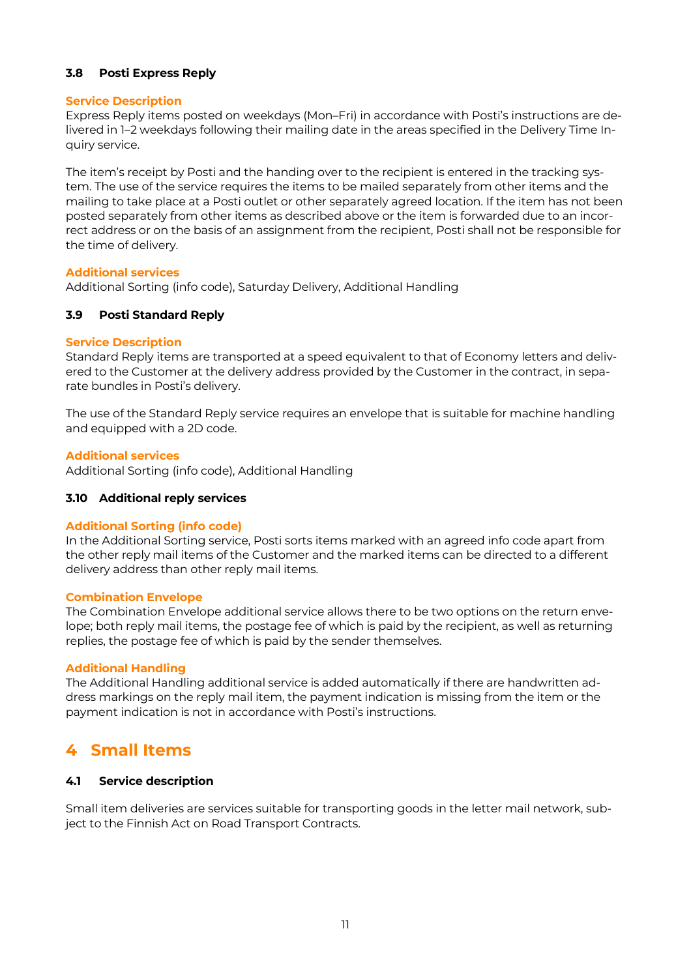## <span id="page-10-0"></span>**3.8 Posti Express Reply**

## **Service Description**

Express Reply items posted on weekdays (Mon–Fri) in accordance with Posti's instructions are delivered in 1–2 weekdays following their mailing date in the areas specified in the Delivery Time Inquiry service.

The item's receipt by Posti and the handing over to the recipient is entered in the tracking system. The use of the service requires the items to be mailed separately from other items and the mailing to take place at a Posti outlet or other separately agreed location. If the item has not been posted separately from other items as described above or the item is forwarded due to an incorrect address or on the basis of an assignment from the recipient, Posti shall not be responsible for the time of delivery.

#### **Additional services**

Additional Sorting (info code), Saturday Delivery, Additional Handling

## <span id="page-10-1"></span>**3.9 Posti Standard Reply**

## **Service Description**

Standard Reply items are transported at a speed equivalent to that of Economy letters and delivered to the Customer at the delivery address provided by the Customer in the contract, in separate bundles in Posti's delivery.

The use of the Standard Reply service requires an envelope that is suitable for machine handling and equipped with a 2D code.

#### **Additional services**

Additional Sorting (info code), Additional Handling

## <span id="page-10-2"></span>**3.10 Additional reply services**

## **Additional Sorting (info code)**

In the Additional Sorting service, Posti sorts items marked with an agreed info code apart from the other reply mail items of the Customer and the marked items can be directed to a different delivery address than other reply mail items.

#### **Combination Envelope**

The Combination Envelope additional service allows there to be two options on the return envelope; both reply mail items, the postage fee of which is paid by the recipient, as well as returning replies, the postage fee of which is paid by the sender themselves.

## **Additional Handling**

The Additional Handling additional service is added automatically if there are handwritten address markings on the reply mail item, the payment indication is missing from the item or the payment indication is not in accordance with Posti's instructions.

## <span id="page-10-3"></span>**4 Small Items**

## <span id="page-10-4"></span>**4.1 Service description**

Small item deliveries are services suitable for transporting goods in the letter mail network, subject to the Finnish Act on Road Transport Contracts.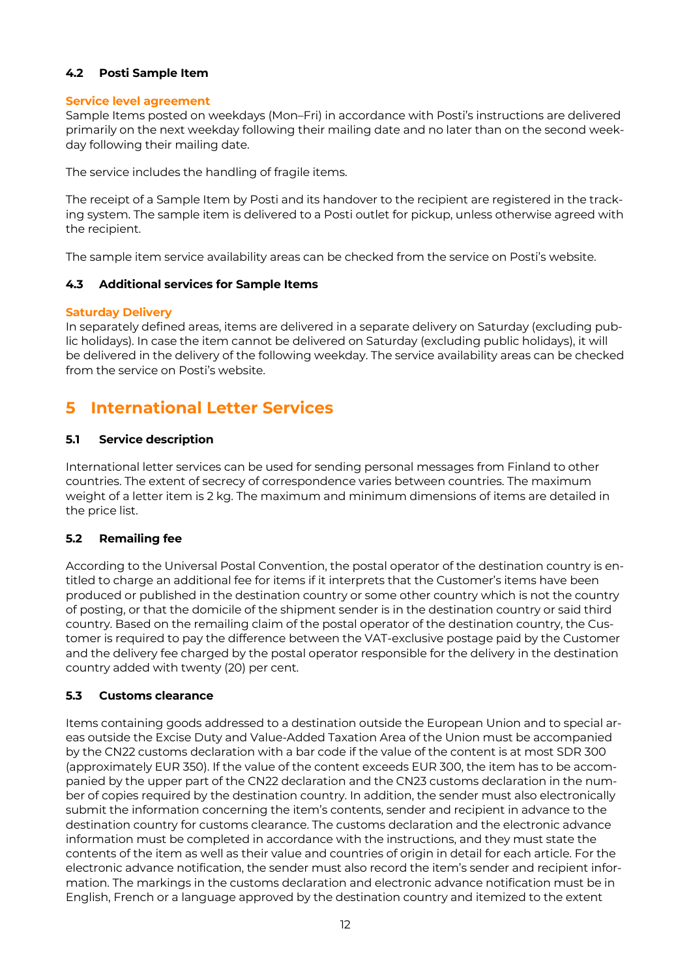## <span id="page-11-0"></span>**4.2 Posti Sample Item**

## **Service level agreement**

Sample Items posted on weekdays (Mon–Fri) in accordance with Posti's instructions are delivered primarily on the next weekday following their mailing date and no later than on the second weekday following their mailing date.

The service includes the handling of fragile items.

The receipt of a Sample Item by Posti and its handover to the recipient are registered in the tracking system. The sample item is delivered to a Posti outlet for pickup, unless otherwise agreed with the recipient.

The sample item service availability areas can be checked from the service on Posti's website.

## <span id="page-11-1"></span>**4.3 Additional services for Sample Items**

## **Saturday Delivery**

In separately defined areas, items are delivered in a separate delivery on Saturday (excluding public holidays). In case the item cannot be delivered on Saturday (excluding public holidays), it will be delivered in the delivery of the following weekday. The service availability areas can be checked from the service on Posti's website.

## <span id="page-11-2"></span>**5 International Letter Services**

## <span id="page-11-3"></span>**5.1 Service description**

International letter services can be used for sending personal messages from Finland to other countries. The extent of secrecy of correspondence varies between countries. The maximum weight of a letter item is 2 kg. The maximum and minimum dimensions of items are detailed in the price list.

## <span id="page-11-4"></span>**5.2 Remailing fee**

According to the Universal Postal Convention, the postal operator of the destination country is entitled to charge an additional fee for items if it interprets that the Customer's items have been produced or published in the destination country or some other country which is not the country of posting, or that the domicile of the shipment sender is in the destination country or said third country. Based on the remailing claim of the postal operator of the destination country, the Customer is required to pay the difference between the VAT-exclusive postage paid by the Customer and the delivery fee charged by the postal operator responsible for the delivery in the destination country added with twenty (20) per cent.

## <span id="page-11-5"></span>**5.3 Customs clearance**

Items containing goods addressed to a destination outside the European Union and to special areas outside the Excise Duty and Value-Added Taxation Area of the Union must be accompanied by the CN22 customs declaration with a bar code if the value of the content is at most SDR 300 (approximately EUR 350). If the value of the content exceeds EUR 300, the item has to be accompanied by the upper part of the CN22 declaration and the CN23 customs declaration in the number of copies required by the destination country. In addition, the sender must also electronically submit the information concerning the item's contents, sender and recipient in advance to the destination country for customs clearance. The customs declaration and the electronic advance information must be completed in accordance with the instructions, and they must state the contents of the item as well as their value and countries of origin in detail for each article. For the electronic advance notification, the sender must also record the item's sender and recipient information. The markings in the customs declaration and electronic advance notification must be in English, French or a language approved by the destination country and itemized to the extent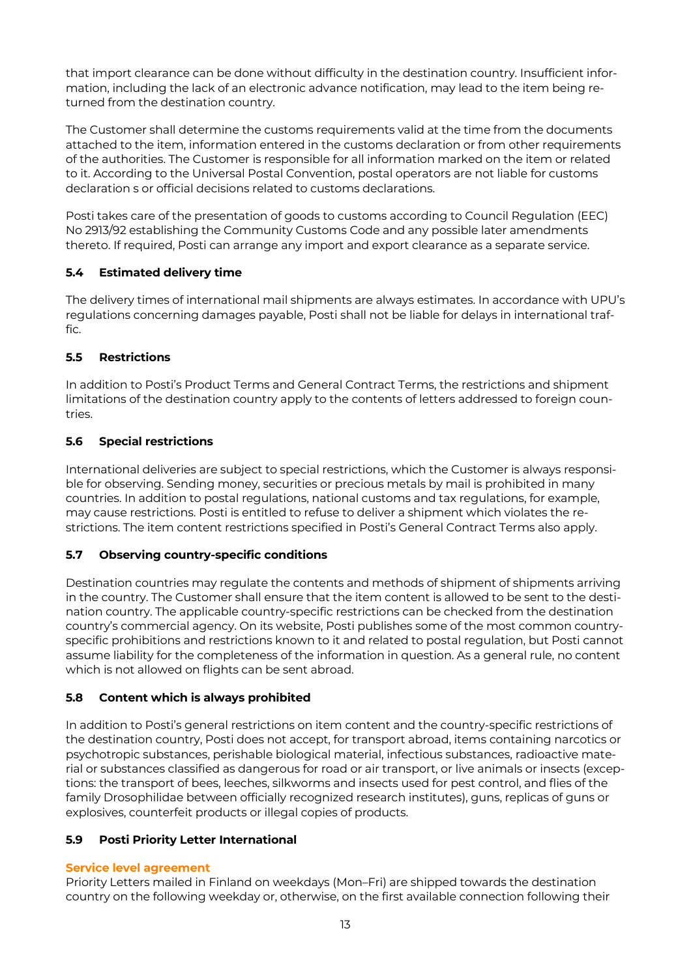that import clearance can be done without difficulty in the destination country. Insufficient information, including the lack of an electronic advance notification, may lead to the item being returned from the destination country.

The Customer shall determine the customs requirements valid at the time from the documents attached to the item, information entered in the customs declaration or from other requirements of the authorities. The Customer is responsible for all information marked on the item or related to it. According to the Universal Postal Convention, postal operators are not liable for customs declaration s or official decisions related to customs declarations.

Posti takes care of the presentation of goods to customs according to Council Regulation (EEC) No 2913/92 establishing the Community Customs Code and any possible later amendments thereto. If required, Posti can arrange any import and export clearance as a separate service.

## <span id="page-12-0"></span>**5.4 Estimated delivery time**

The delivery times of international mail shipments are always estimates. In accordance with UPU's regulations concerning damages payable, Posti shall not be liable for delays in international traffic.

## <span id="page-12-1"></span>**5.5 Restrictions**

In addition to Posti's Product Terms and General Contract Terms, the restrictions and shipment limitations of the destination country apply to the contents of letters addressed to foreign countries.

## <span id="page-12-2"></span>**5.6 Special restrictions**

International deliveries are subject to special restrictions, which the Customer is always responsible for observing. Sending money, securities or precious metals by mail is prohibited in many countries. In addition to postal regulations, national customs and tax regulations, for example, may cause restrictions. Posti is entitled to refuse to deliver a shipment which violates the restrictions. The item content restrictions specified in Posti's General Contract Terms also apply.

## <span id="page-12-3"></span>**5.7 Observing country-specific conditions**

Destination countries may regulate the contents and methods of shipment of shipments arriving in the country. The Customer shall ensure that the item content is allowed to be sent to the destination country. The applicable country-specific restrictions can be checked from the destination country's commercial agency. On its website, Posti publishes some of the most common countryspecific prohibitions and restrictions known to it and related to postal regulation, but Posti cannot assume liability for the completeness of the information in question. As a general rule, no content which is not allowed on flights can be sent abroad.

## <span id="page-12-4"></span>**5.8 Content which is always prohibited**

In addition to Posti's general restrictions on item content and the country-specific restrictions of the destination country, Posti does not accept, for transport abroad, items containing narcotics or psychotropic substances, perishable biological material, infectious substances, radioactive material or substances classified as dangerous for road or air transport, or live animals or insects (exceptions: the transport of bees, leeches, silkworms and insects used for pest control, and flies of the family Drosophilidae between officially recognized research institutes), guns, replicas of guns or explosives, counterfeit products or illegal copies of products.

## <span id="page-12-5"></span>**5.9 Posti Priority Letter International**

## **Service level agreement**

Priority Letters mailed in Finland on weekdays (Mon–Fri) are shipped towards the destination country on the following weekday or, otherwise, on the first available connection following their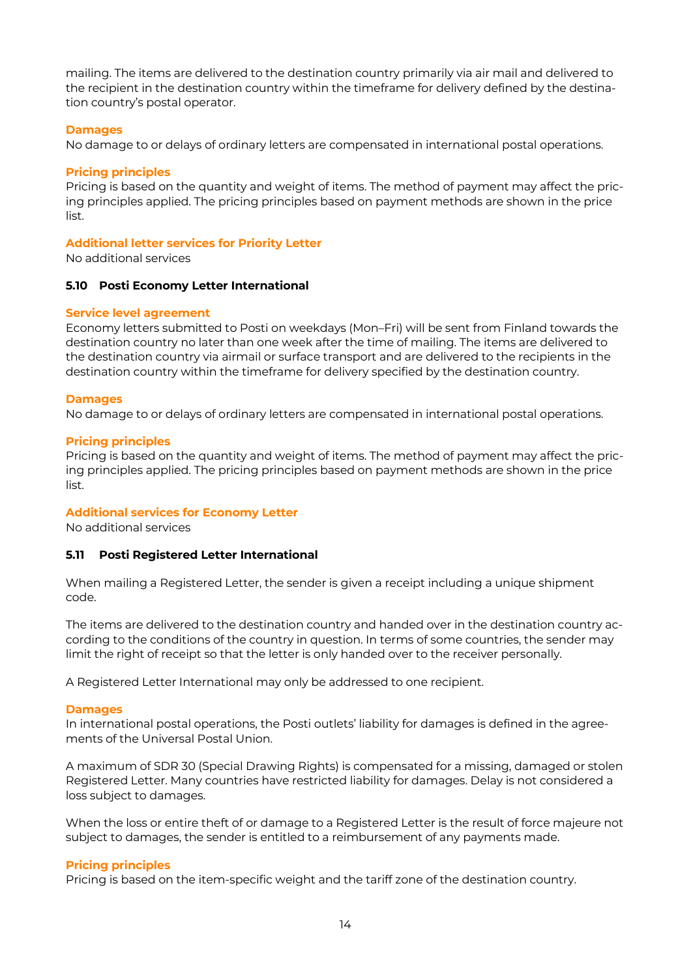mailing. The items are delivered to the destination country primarily via air mail and delivered to the recipient in the destination country within the timeframe for delivery defined by the destination country's postal operator.

### **Damages**

No damage to or delays of ordinary letters are compensated in international postal operations.

#### **Pricing principles**

Pricing is based on the quantity and weight of items. The method of payment may affect the pricing principles applied. The pricing principles based on payment methods are shown in the price list.

#### **Additional letter services for Priority Letter**

No additional services

#### <span id="page-13-0"></span>**5.10 Posti Economy Letter International**

#### **Service level agreement**

Economy letters submitted to Posti on weekdays (Mon–Fri) will be sent from Finland towards the destination country no later than one week after the time of mailing. The items are delivered to the destination country via airmail or surface transport and are delivered to the recipients in the destination country within the timeframe for delivery specified by the destination country.

#### **Damages**

No damage to or delays of ordinary letters are compensated in international postal operations.

#### **Pricing principles**

Pricing is based on the quantity and weight of items. The method of payment may affect the pricing principles applied. The pricing principles based on payment methods are shown in the price list.

## **Additional services for Economy Letter**

No additional services

## <span id="page-13-1"></span>**5.11 Posti Registered Letter International**

When mailing a Registered Letter, the sender is given a receipt including a unique shipment code.

The items are delivered to the destination country and handed over in the destination country according to the conditions of the country in question. In terms of some countries, the sender may limit the right of receipt so that the letter is only handed over to the receiver personally.

A Registered Letter International may only be addressed to one recipient.

#### **Damages**

In international postal operations, the Posti outlets' liability for damages is defined in the agreements of the Universal Postal Union.

A maximum of SDR 30 (Special Drawing Rights) is compensated for a missing, damaged or stolen Registered Letter. Many countries have restricted liability for damages. Delay is not considered a loss subject to damages.

When the loss or entire theft of or damage to a Registered Letter is the result of force majeure not subject to damages, the sender is entitled to a reimbursement of any payments made.

## **Pricing principles**

Pricing is based on the item-specific weight and the tariff zone of the destination country.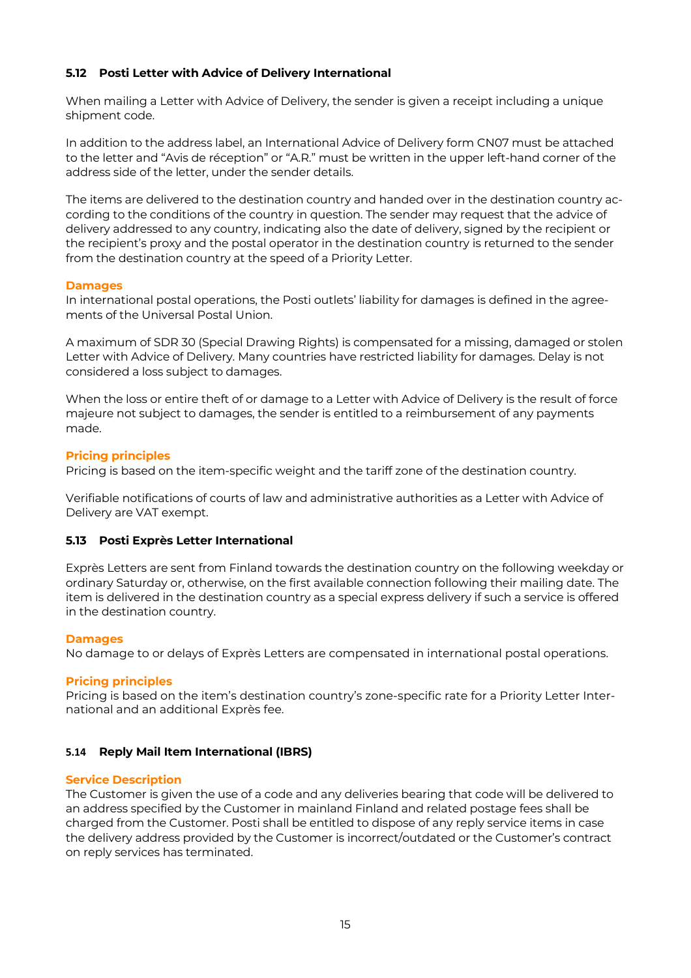## <span id="page-14-0"></span>**5.12 Posti Letter with Advice of Delivery International**

When mailing a Letter with Advice of Delivery, the sender is given a receipt including a unique shipment code.

In addition to the address label, an International Advice of Delivery form CN07 must be attached to the letter and "Avis de réception" or "A.R." must be written in the upper left-hand corner of the address side of the letter, under the sender details.

The items are delivered to the destination country and handed over in the destination country according to the conditions of the country in question. The sender may request that the advice of delivery addressed to any country, indicating also the date of delivery, signed by the recipient or the recipient's proxy and the postal operator in the destination country is returned to the sender from the destination country at the speed of a Priority Letter.

## **Damages**

In international postal operations, the Posti outlets' liability for damages is defined in the agreements of the Universal Postal Union.

A maximum of SDR 30 (Special Drawing Rights) is compensated for a missing, damaged or stolen Letter with Advice of Delivery. Many countries have restricted liability for damages. Delay is not considered a loss subject to damages.

When the loss or entire theft of or damage to a Letter with Advice of Delivery is the result of force majeure not subject to damages, the sender is entitled to a reimbursement of any payments made.

## **Pricing principles**

Pricing is based on the item-specific weight and the tariff zone of the destination country.

Verifiable notifications of courts of law and administrative authorities as a Letter with Advice of Delivery are VAT exempt.

## <span id="page-14-1"></span>**5.13 Posti Exprès Letter International**

Exprès Letters are sent from Finland towards the destination country on the following weekday or ordinary Saturday or, otherwise, on the first available connection following their mailing date. The item is delivered in the destination country as a special express delivery if such a service is offered in the destination country.

## **Damages**

No damage to or delays of Exprès Letters are compensated in international postal operations.

## **Pricing principles**

Pricing is based on the item's destination country's zone-specific rate for a Priority Letter International and an additional Exprès fee.

## <span id="page-14-2"></span>**5.14 Reply Mail Item International (IBRS)**

## **Service Description**

The Customer is given the use of a code and any deliveries bearing that code will be delivered to an address specified by the Customer in mainland Finland and related postage fees shall be charged from the Customer. Posti shall be entitled to dispose of any reply service items in case the delivery address provided by the Customer is incorrect/outdated or the Customer's contract on reply services has terminated.